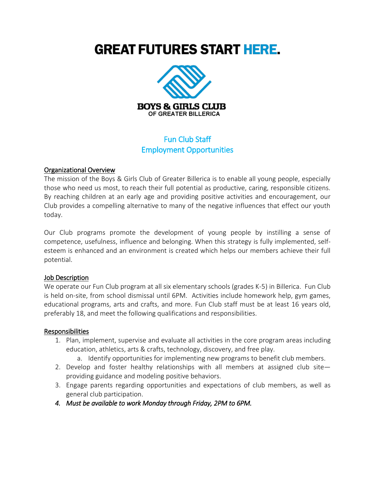# **GREAT FUTURES START HERE.**



# Fun Club Staff Employment Opportunities

#### Organizational Overview

The mission of the Boys & Girls Club of Greater Billerica is to enable all young people, especially those who need us most, to reach their full potential as productive, caring, responsible citizens. By reaching children at an early age and providing positive activities and encouragement, our Club provides a compelling alternative to many of the negative influences that effect our youth today.

Our Club programs promote the development of young people by instilling a sense of competence, usefulness, influence and belonging. When this strategy is fully implemented, selfesteem is enhanced and an environment is created which helps our members achieve their full potential.

#### Job Description

We operate our Fun Club program at all six elementary schools (grades K-5) in Billerica. Fun Club is held on-site, from school dismissal until 6PM. Activities include homework help, gym games, educational programs, arts and crafts, and more. Fun Club staff must be at least 16 years old, preferably 18, and meet the following qualifications and responsibilities.

### Responsibilities

- 1. Plan, implement, supervise and evaluate all activities in the core program areas including education, athletics, arts & crafts, technology, discovery, and free play.
	- a. Identify opportunities for implementing new programs to benefit club members.
- 2. Develop and foster healthy relationships with all members at assigned club site providing guidance and modeling positive behaviors.
- 3. Engage parents regarding opportunities and expectations of club members, as well as general club participation.
- *4. Must be available to work Monday through Friday, 2PM to 6PM.*